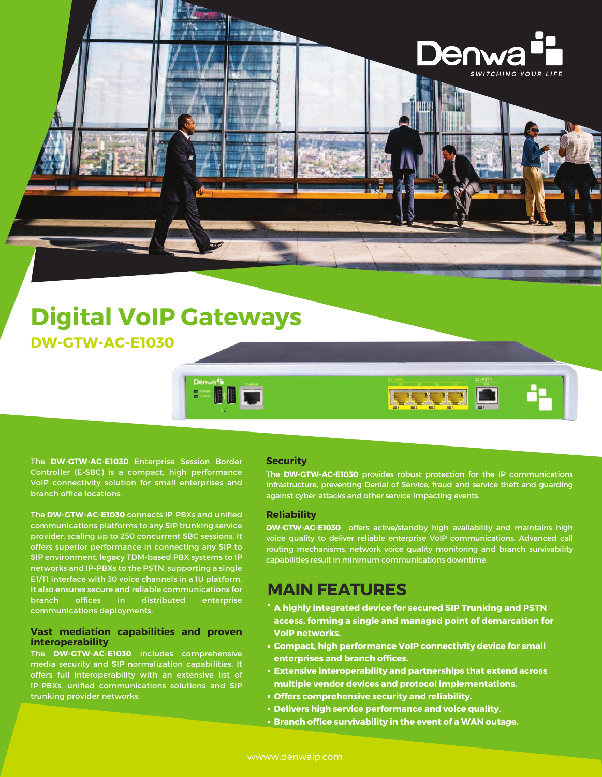

## **Digital VoIP Gateways DW-GTW-AC-E1030**

The **DW-GTW-AC-E1030** Enterprise Session Border Controller (E-SBC) is a compact, high performance VoIP connectivity solution for small enterprises and branch office locations.

The **DW-GTW-AC-E1030** connects IP-PBXs and unified communications platforms to any SIP trunking service provider, scaling up to 250 concurrent SBC sessions. It offers superior performance in connecting any SIP to SIP environment, legacy TDM-based PBX systems to IP networks and IP-PBXs to the PSTN, supporting a single E1/T1 interface with 30 voice channels in a 1U platform. It also ensures secure and reliable communications for branch offices in distributed enterprise communications deployments.

#### **Vast mediation capabilities and proven interoperability**

The **DW-GTW-AC-E1030** includes comprehensive media security and SIP normalization capabilities. It offers full interoperability with an extensive list of IP-PBXs, unified communications solutions and SIP trunking provider networks.

#### **Security**

The **DW-GTW-AC-E1030** provides robust protection for the IP communications infrastructure, preventing Denial of Service, fraud and service theft and guarding against cyber-attacks and other service-impacting events.

**BELLED** 

#### **Reliability**

**DW-GTW-AC-E1030** offers active/standby high availability and maintains high voice quality to deliver reliable enterprise VoIP communications. Advanced call routing mechanisms, network voice quality monitoring and branch survivability capabilities result in minimum communications downtime.

### **MAIN FEATURES**

- **A highly integrated device for secured SIP Trunking and PSTN access, forming a single and managed point of demarcation for VoIP networks.**
- **Compact, high performance VoIP connectivity device for small enterprises and branch offices.**
- **Extensive interoperability and partnerships that extend across multiple vendor devices and protocol implementations.**
- **Offers comprehensive security and reliability.**
- **Delivers high service performance and voice quality.**
- **Branch office survivability in the event of a WAN outage.**